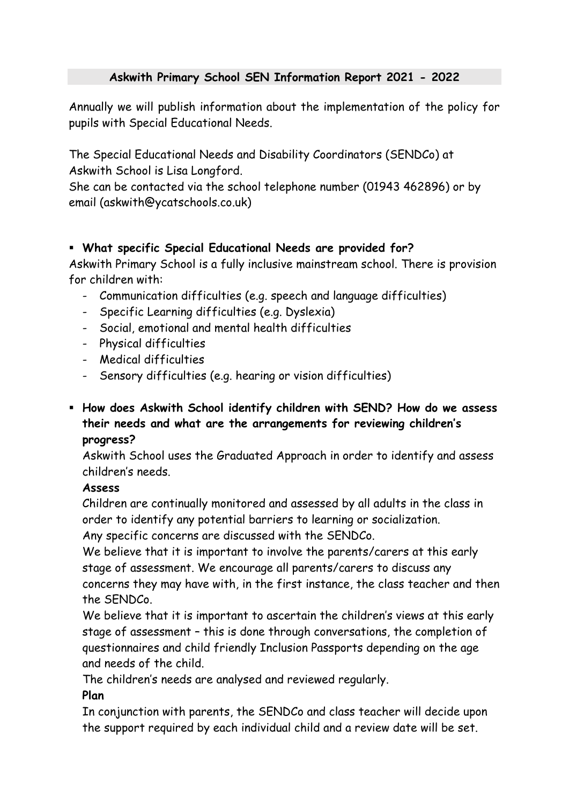# **Askwith Primary School SEN Information Report 2021 - 2022**

Annually we will publish information about the implementation of the policy for pupils with Special Educational Needs.

The Special Educational Needs and Disability Coordinators (SENDCo) at Askwith School is Lisa Longford.

She can be contacted via the school telephone number (01943 462896) or by email (askwith@ycatschools.co.uk)

## **What specific Special Educational Needs are provided for?**

Askwith Primary School is a fully inclusive mainstream school. There is provision for children with:

- Communication difficulties (e.g. speech and language difficulties)
- Specific Learning difficulties (e.g. Dyslexia)
- Social, emotional and mental health difficulties
- Physical difficulties
- Medical difficulties
- Sensory difficulties (e.g. hearing or vision difficulties)
- **How does Askwith School identify children with SEND? How do we assess their needs and what are the arrangements for reviewing children's progress?**

Askwith School uses the Graduated Approach in order to identify and assess children's needs.

## **Assess**

Children are continually monitored and assessed by all adults in the class in order to identify any potential barriers to learning or socialization.

Any specific concerns are discussed with the SENDCo.

We believe that it is important to involve the parents/carers at this early stage of assessment. We encourage all parents/carers to discuss any concerns they may have with, in the first instance, the class teacher and then the SENDCo.

We believe that it is important to ascertain the children's views at this early stage of assessment – this is done through conversations, the completion of questionnaires and child friendly Inclusion Passports depending on the age and needs of the child.

The children's needs are analysed and reviewed regularly.

## **Plan**

In conjunction with parents, the SENDCo and class teacher will decide upon the support required by each individual child and a review date will be set.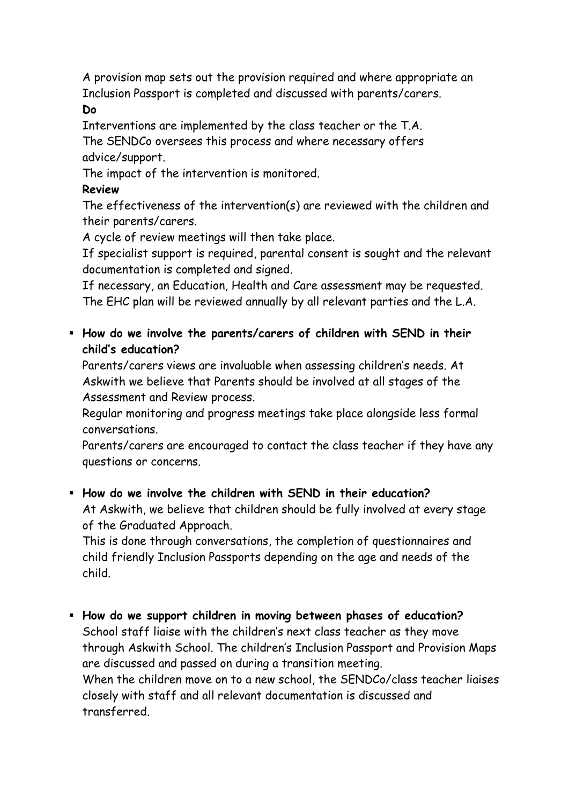A provision map sets out the provision required and where appropriate an Inclusion Passport is completed and discussed with parents/carers.

#### **Do**

Interventions are implemented by the class teacher or the T.A. The SENDCo oversees this process and where necessary offers advice/support.

The impact of the intervention is monitored.

# **Review**

The effectiveness of the intervention(s) are reviewed with the children and their parents/carers.

A cycle of review meetings will then take place.

If specialist support is required, parental consent is sought and the relevant documentation is completed and signed.

If necessary, an Education, Health and Care assessment may be requested. The EHC plan will be reviewed annually by all relevant parties and the L.A.

 **How do we involve the parents/carers of children with SEND in their child's education?** 

Parents/carers views are invaluable when assessing children's needs. At Askwith we believe that Parents should be involved at all stages of the Assessment and Review process.

Regular monitoring and progress meetings take place alongside less formal conversations.

Parents/carers are encouraged to contact the class teacher if they have any questions or concerns.

## **How do we involve the children with SEND in their education?**  At Askwith, we believe that children should be fully involved at every stage of the Graduated Approach.

This is done through conversations, the completion of questionnaires and child friendly Inclusion Passports depending on the age and needs of the child.

 **How do we support children in moving between phases of education?** School staff liaise with the children's next class teacher as they move through Askwith School. The children's Inclusion Passport and Provision Maps are discussed and passed on during a transition meeting. When the children move on to a new school, the SENDCo/class teacher liaises closely with staff and all relevant documentation is discussed and transferred.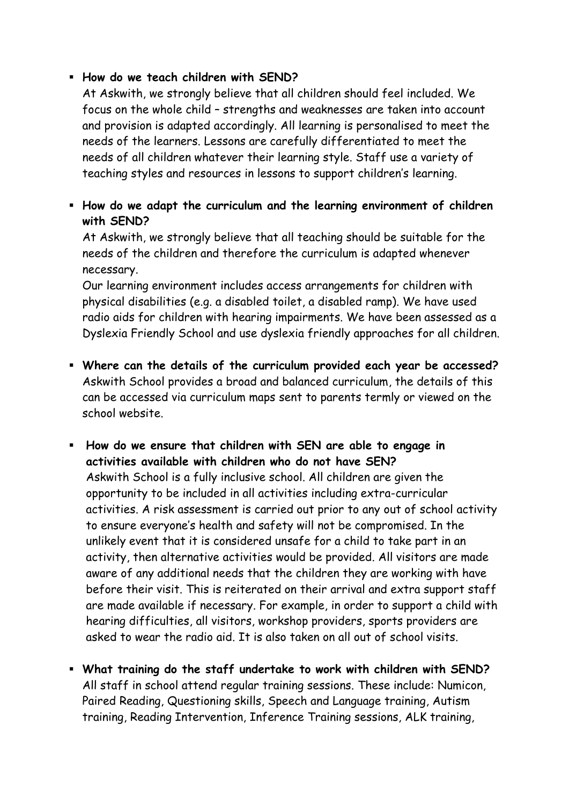## **How do we teach children with SEND?**

At Askwith, we strongly believe that all children should feel included. We focus on the whole child – strengths and weaknesses are taken into account and provision is adapted accordingly. All learning is personalised to meet the needs of the learners. Lessons are carefully differentiated to meet the needs of all children whatever their learning style. Staff use a variety of teaching styles and resources in lessons to support children's learning.

 **How do we adapt the curriculum and the learning environment of children with SEND?**

At Askwith, we strongly believe that all teaching should be suitable for the needs of the children and therefore the curriculum is adapted whenever necessary.

Our learning environment includes access arrangements for children with physical disabilities (e.g. a disabled toilet, a disabled ramp). We have used radio aids for children with hearing impairments. We have been assessed as a Dyslexia Friendly School and use dyslexia friendly approaches for all children.

- **Where can the details of the curriculum provided each year be accessed?** Askwith School provides a broad and balanced curriculum, the details of this can be accessed via curriculum maps sent to parents termly or viewed on the school website.
- **How do we ensure that children with SEN are able to engage in activities available with children who do not have SEN?** Askwith School is a fully inclusive school. All children are given the opportunity to be included in all activities including extra-curricular activities. A risk assessment is carried out prior to any out of school activity to ensure everyone's health and safety will not be compromised. In the unlikely event that it is considered unsafe for a child to take part in an activity, then alternative activities would be provided. All visitors are made aware of any additional needs that the children they are working with have before their visit. This is reiterated on their arrival and extra support staff are made available if necessary. For example, in order to support a child with hearing difficulties, all visitors, workshop providers, sports providers are asked to wear the radio aid. It is also taken on all out of school visits.
- **What training do the staff undertake to work with children with SEND?** All staff in school attend regular training sessions. These include: Numicon, Paired Reading, Questioning skills, Speech and Language training, Autism training, Reading Intervention, Inference Training sessions, ALK training,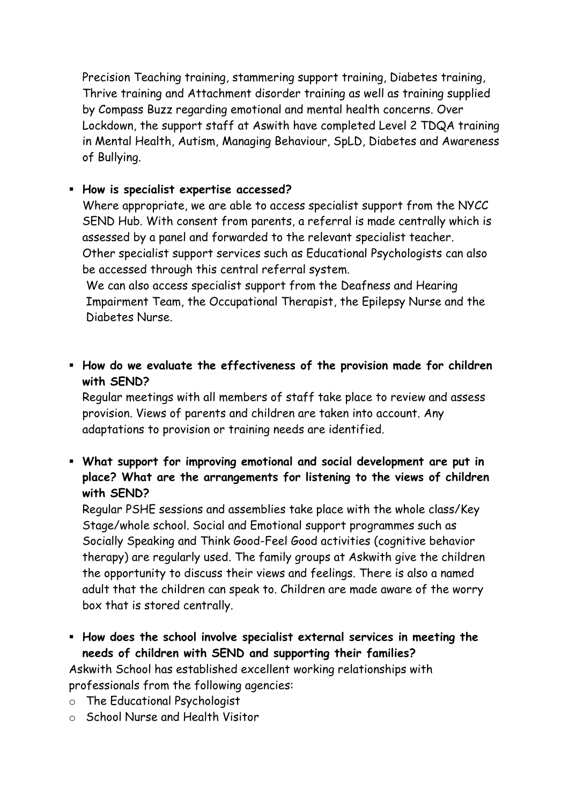Precision Teaching training, stammering support training, Diabetes training, Thrive training and Attachment disorder training as well as training supplied by Compass Buzz regarding emotional and mental health concerns. Over Lockdown, the support staff at Aswith have completed Level 2 TDQA training in Mental Health, Autism, Managing Behaviour, SpLD, Diabetes and Awareness of Bullying.

## **How is specialist expertise accessed?**

Where appropriate, we are able to access specialist support from the NYCC SEND Hub. With consent from parents, a referral is made centrally which is assessed by a panel and forwarded to the relevant specialist teacher. Other specialist support services such as Educational Psychologists can also be accessed through this central referral system.

We can also access specialist support from the Deafness and Hearing Impairment Team, the Occupational Therapist, the Epilepsy Nurse and the Diabetes Nurse.

 **How do we evaluate the effectiveness of the provision made for children with SEND?**

Regular meetings with all members of staff take place to review and assess provision. Views of parents and children are taken into account. Any adaptations to provision or training needs are identified.

 **What support for improving emotional and social development are put in place? What are the arrangements for listening to the views of children with SEND?**

Regular PSHE sessions and assemblies take place with the whole class/Key Stage/whole school. Social and Emotional support programmes such as Socially Speaking and Think Good-Feel Good activities (cognitive behavior therapy) are regularly used. The family groups at Askwith give the children the opportunity to discuss their views and feelings. There is also a named adult that the children can speak to. Children are made aware of the worry box that is stored centrally.

 **How does the school involve specialist external services in meeting the needs of children with SEND and supporting their families?**

Askwith School has established excellent working relationships with professionals from the following agencies:

- o The Educational Psychologist
- o School Nurse and Health Visitor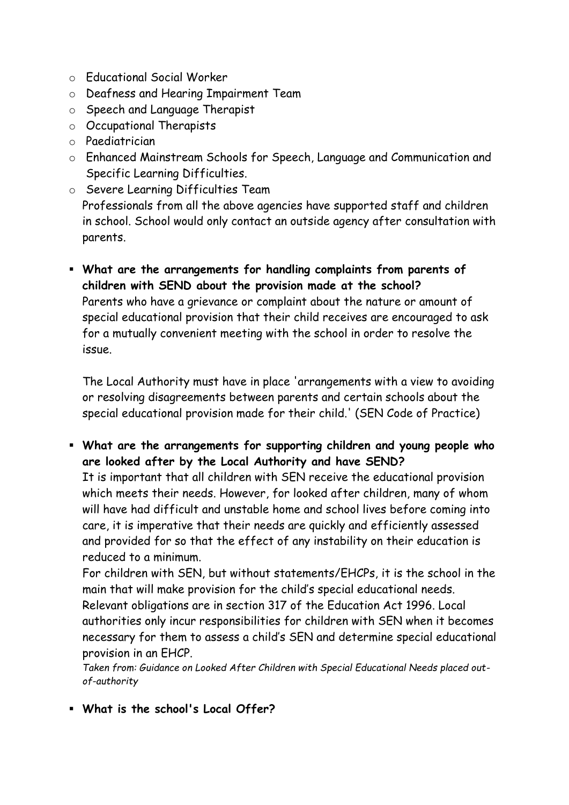- o Educational Social Worker
- o Deafness and Hearing Impairment Team
- o Speech and Language Therapist
- o Occupational Therapists
- o Paediatrician
- o Enhanced Mainstream Schools for Speech, Language and Communication and Specific Learning Difficulties.
- o Severe Learning Difficulties Team Professionals from all the above agencies have supported staff and children in school. School would only contact an outside agency after consultation with parents.
- **What are the arrangements for handling complaints from parents of children with SEND about the provision made at the school?** Parents who have a grievance or complaint about the nature or amount of special educational provision that their child receives are encouraged to ask for a mutually convenient meeting with the school in order to resolve the issue.

The Local Authority must have in place 'arrangements with a view to avoiding or resolving disagreements between parents and certain schools about the special educational provision made for their child.' (SEN Code of Practice)

 **What are the arrangements for supporting children and young people who are looked after by the Local Authority and have SEND?**

It is important that all children with SEN receive the educational provision which meets their needs. However, for looked after children, many of whom will have had difficult and unstable home and school lives before coming into care, it is imperative that their needs are quickly and efficiently assessed and provided for so that the effect of any instability on their education is reduced to a minimum.

For children with SEN, but without statements/EHCPs, it is the school in the main that will make provision for the child's special educational needs. Relevant obligations are in section 317 of the Education Act 1996. Local authorities only incur responsibilities for children with SEN when it becomes necessary for them to assess a child's SEN and determine special educational provision in an EHCP.

*Taken from: Guidance on Looked After Children with Special Educational Needs placed outof-authority*

**What is the school's Local Offer?**